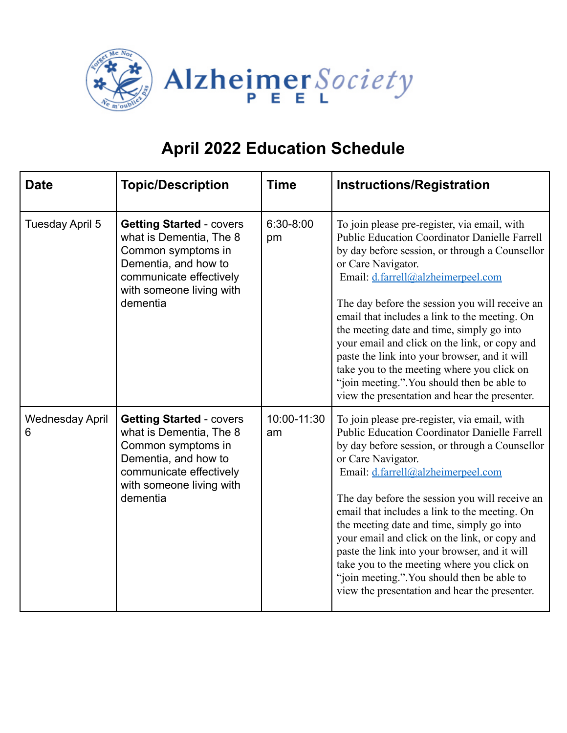

| <b>Date</b>                 | <b>Topic/Description</b>                                                                                                                                                    | <b>Time</b>       | <b>Instructions/Registration</b>                                                                                                                                                                                                                                                                                                                                                                                                                                                                                                                                                                                   |
|-----------------------------|-----------------------------------------------------------------------------------------------------------------------------------------------------------------------------|-------------------|--------------------------------------------------------------------------------------------------------------------------------------------------------------------------------------------------------------------------------------------------------------------------------------------------------------------------------------------------------------------------------------------------------------------------------------------------------------------------------------------------------------------------------------------------------------------------------------------------------------------|
| Tuesday April 5             | <b>Getting Started - covers</b><br>what is Dementia, The 8<br>Common symptoms in<br>Dementia, and how to<br>communicate effectively<br>with someone living with<br>dementia | 6:30-8:00<br>pm   | To join please pre-register, via email, with<br><b>Public Education Coordinator Danielle Farrell</b><br>by day before session, or through a Counsellor<br>or Care Navigator.<br>Email: d.farrell@alzheimerpeel.com<br>The day before the session you will receive an<br>email that includes a link to the meeting. On<br>the meeting date and time, simply go into<br>your email and click on the link, or copy and<br>paste the link into your browser, and it will<br>take you to the meeting where you click on<br>"join meeting.". You should then be able to<br>view the presentation and hear the presenter. |
| <b>Wednesday April</b><br>6 | <b>Getting Started - covers</b><br>what is Dementia, The 8<br>Common symptoms in<br>Dementia, and how to<br>communicate effectively<br>with someone living with<br>dementia | 10:00-11:30<br>am | To join please pre-register, via email, with<br><b>Public Education Coordinator Danielle Farrell</b><br>by day before session, or through a Counsellor<br>or Care Navigator.<br>Email: d.farrell@alzheimerpeel.com<br>The day before the session you will receive an<br>email that includes a link to the meeting. On<br>the meeting date and time, simply go into<br>your email and click on the link, or copy and<br>paste the link into your browser, and it will<br>take you to the meeting where you click on<br>"join meeting.". You should then be able to<br>view the presentation and hear the presenter. |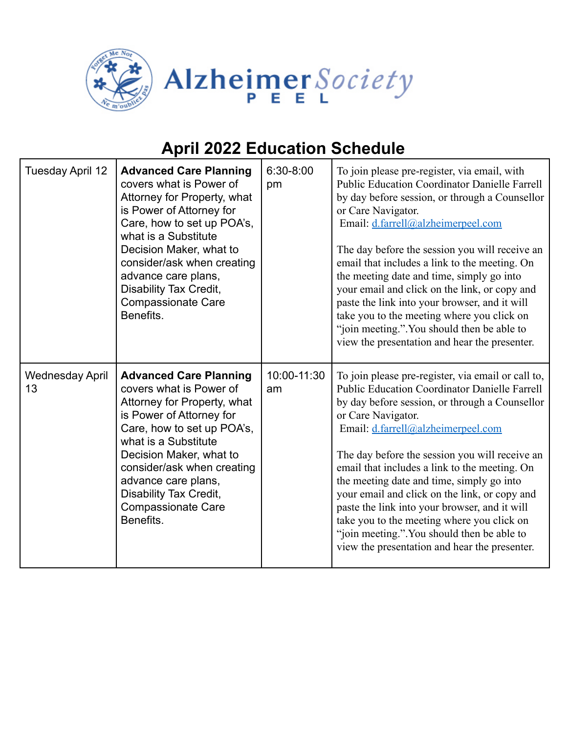

| Tuesday April 12             | <b>Advanced Care Planning</b><br>covers what is Power of<br>Attorney for Property, what<br>is Power of Attorney for<br>Care, how to set up POA's,<br>what is a Substitute<br>Decision Maker, what to<br>consider/ask when creating<br>advance care plans,<br>Disability Tax Credit,<br><b>Compassionate Care</b><br>Benefits. | 6:30-8:00<br>pm   | To join please pre-register, via email, with<br><b>Public Education Coordinator Danielle Farrell</b><br>by day before session, or through a Counsellor<br>or Care Navigator.<br>Email: d.farrell@alzheimerpeel.com<br>The day before the session you will receive an<br>email that includes a link to the meeting. On<br>the meeting date and time, simply go into<br>your email and click on the link, or copy and<br>paste the link into your browser, and it will<br>take you to the meeting where you click on<br>"join meeting.". You should then be able to<br>view the presentation and hear the presenter.       |
|------------------------------|-------------------------------------------------------------------------------------------------------------------------------------------------------------------------------------------------------------------------------------------------------------------------------------------------------------------------------|-------------------|--------------------------------------------------------------------------------------------------------------------------------------------------------------------------------------------------------------------------------------------------------------------------------------------------------------------------------------------------------------------------------------------------------------------------------------------------------------------------------------------------------------------------------------------------------------------------------------------------------------------------|
| <b>Wednesday April</b><br>13 | <b>Advanced Care Planning</b><br>covers what is Power of<br>Attorney for Property, what<br>is Power of Attorney for<br>Care, how to set up POA's,<br>what is a Substitute<br>Decision Maker, what to<br>consider/ask when creating<br>advance care plans,<br>Disability Tax Credit,<br><b>Compassionate Care</b><br>Benefits. | 10:00-11:30<br>am | To join please pre-register, via email or call to,<br><b>Public Education Coordinator Danielle Farrell</b><br>by day before session, or through a Counsellor<br>or Care Navigator.<br>Email: d.farrell@alzheimerpeel.com<br>The day before the session you will receive an<br>email that includes a link to the meeting. On<br>the meeting date and time, simply go into<br>your email and click on the link, or copy and<br>paste the link into your browser, and it will<br>take you to the meeting where you click on<br>"join meeting.". You should then be able to<br>view the presentation and hear the presenter. |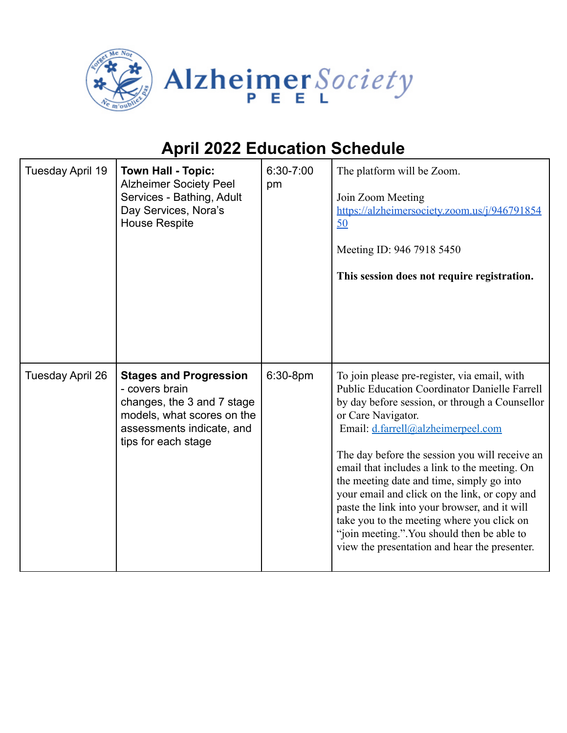

| Tuesday April 19 | <b>Town Hall - Topic:</b><br><b>Alzheimer Society Peel</b><br>Services - Bathing, Adult<br>Day Services, Nora's<br><b>House Respite</b>                         | 6:30-7:00<br>pm | The platform will be Zoom.<br>Join Zoom Meeting<br>https://alzheimersociety.zoom.us/j/946791854<br>50<br>Meeting ID: 946 7918 5450<br>This session does not require registration.                                                                                                                                                                                                                                                                                                                                                                                                                                  |
|------------------|-----------------------------------------------------------------------------------------------------------------------------------------------------------------|-----------------|--------------------------------------------------------------------------------------------------------------------------------------------------------------------------------------------------------------------------------------------------------------------------------------------------------------------------------------------------------------------------------------------------------------------------------------------------------------------------------------------------------------------------------------------------------------------------------------------------------------------|
| Tuesday April 26 | <b>Stages and Progression</b><br>- covers brain<br>changes, the 3 and 7 stage<br>models, what scores on the<br>assessments indicate, and<br>tips for each stage | 6:30-8pm        | To join please pre-register, via email, with<br><b>Public Education Coordinator Danielle Farrell</b><br>by day before session, or through a Counsellor<br>or Care Navigator.<br>Email: d.farrell@alzheimerpeel.com<br>The day before the session you will receive an<br>email that includes a link to the meeting. On<br>the meeting date and time, simply go into<br>your email and click on the link, or copy and<br>paste the link into your browser, and it will<br>take you to the meeting where you click on<br>"join meeting.". You should then be able to<br>view the presentation and hear the presenter. |